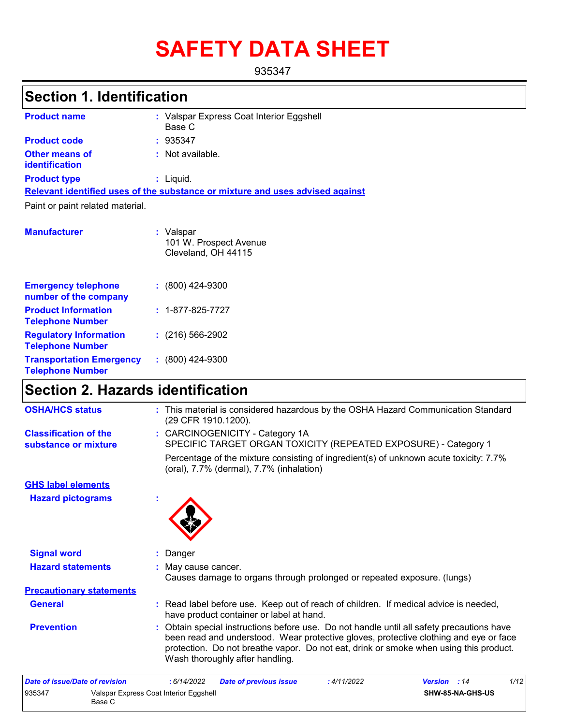# **SAFETY DATA SHEET**

935347

# **Section 1. Identification**

| <b>Product name</b>                     | : Valspar Express Coat Interior Eggshell<br>Base C                            |
|-----------------------------------------|-------------------------------------------------------------------------------|
| <b>Product code</b>                     | : 935347                                                                      |
| <b>Other means of</b><br>identification | $\therefore$ Not available.                                                   |
| <b>Product type</b>                     | : Liquid.                                                                     |
|                                         | Relevant identified uses of the substance or mixture and uses advised against |
| Paint or paint related material.        |                                                                               |
| <b>Manufacturer</b>                     | : Valspar<br>101 W. Prospect Avenue<br>Cleveland, OH 44115                    |

| <b>Emergency telephone</b><br>number of the company        | $: (800)$ 424-9300       |
|------------------------------------------------------------|--------------------------|
| <b>Product Information</b><br><b>Telephone Number</b>      | $: 1 - 877 - 825 - 7727$ |
| <b>Regulatory Information</b><br><b>Telephone Number</b>   | $(216)$ 566-2902         |
| <b>Transportation Emergency</b><br><b>Telephone Number</b> | $: (800)$ 424-9300       |

### **Section 2. Hazards identification**

| <b>OSHA/HCS status</b>                               | : This material is considered hazardous by the OSHA Hazard Communication Standard<br>(29 CFR 1910.1200).                                                                                                                                                                                                       |
|------------------------------------------------------|----------------------------------------------------------------------------------------------------------------------------------------------------------------------------------------------------------------------------------------------------------------------------------------------------------------|
| <b>Classification of the</b><br>substance or mixture | : CARCINOGENICITY - Category 1A<br>SPECIFIC TARGET ORGAN TOXICITY (REPEATED EXPOSURE) - Category 1                                                                                                                                                                                                             |
|                                                      | Percentage of the mixture consisting of ingredient(s) of unknown acute toxicity: 7.7%<br>(oral), 7.7% (dermal), 7.7% (inhalation)                                                                                                                                                                              |
| <b>GHS label elements</b>                            |                                                                                                                                                                                                                                                                                                                |
| <b>Hazard pictograms</b>                             | ÷                                                                                                                                                                                                                                                                                                              |
| <b>Signal word</b>                                   | Danger                                                                                                                                                                                                                                                                                                         |
| <b>Hazard statements</b>                             | : May cause cancer.<br>Causes damage to organs through prolonged or repeated exposure. (lungs)                                                                                                                                                                                                                 |
| <b>Precautionary statements</b>                      |                                                                                                                                                                                                                                                                                                                |
| <b>General</b>                                       | : Read label before use. Keep out of reach of children. If medical advice is needed,<br>have product container or label at hand.                                                                                                                                                                               |
| <b>Prevention</b>                                    | : Obtain special instructions before use. Do not handle until all safety precautions have<br>been read and understood. Wear protective gloves, protective clothing and eye or face<br>protection. Do not breathe vapor. Do not eat, drink or smoke when using this product.<br>Wash thoroughly after handling. |

| Date of issue/Date of revision                             |  | 6/14/2022 | <b>Date of previous issue</b> | : 4/11/2022 | <b>Version</b> : 14 | 1/12 |
|------------------------------------------------------------|--|-----------|-------------------------------|-------------|---------------------|------|
| 935347<br>Valspar Express Coat Interior Eggshell<br>Base C |  |           | SHW-85-NA-GHS-US              |             |                     |      |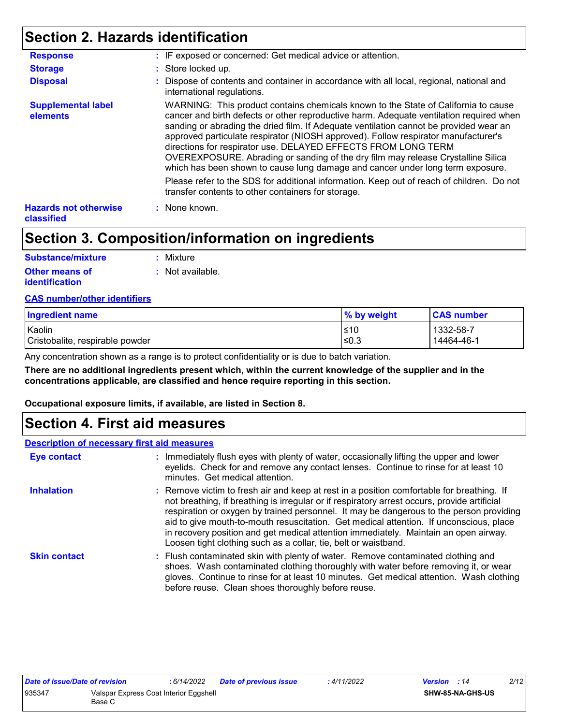### **Section 2. Hazards identification**

| <b>Response</b>                                   | : IF exposed or concerned: Get medical advice or attention.                                                                                                                                                                                                                                                                                                                                                                                                                                                                                                                                          |
|---------------------------------------------------|------------------------------------------------------------------------------------------------------------------------------------------------------------------------------------------------------------------------------------------------------------------------------------------------------------------------------------------------------------------------------------------------------------------------------------------------------------------------------------------------------------------------------------------------------------------------------------------------------|
| <b>Storage</b>                                    | : Store locked up.                                                                                                                                                                                                                                                                                                                                                                                                                                                                                                                                                                                   |
| <b>Disposal</b>                                   | : Dispose of contents and container in accordance with all local, regional, national and<br>international regulations.                                                                                                                                                                                                                                                                                                                                                                                                                                                                               |
| <b>Supplemental label</b><br>elements             | WARNING: This product contains chemicals known to the State of California to cause<br>cancer and birth defects or other reproductive harm. Adequate ventilation required when<br>sanding or abrading the dried film. If Adequate ventilation cannot be provided wear an<br>approved particulate respirator (NIOSH approved). Follow respirator manufacturer's<br>directions for respirator use. DELAYED EFFECTS FROM LONG TERM<br>OVEREXPOSURE. Abrading or sanding of the dry film may release Crystalline Silica<br>which has been shown to cause lung damage and cancer under long term exposure. |
|                                                   | Please refer to the SDS for additional information. Keep out of reach of children. Do not<br>transfer contents to other containers for storage.                                                                                                                                                                                                                                                                                                                                                                                                                                                      |
| <b>Hazards not otherwise</b><br><b>classified</b> | : None known.                                                                                                                                                                                                                                                                                                                                                                                                                                                                                                                                                                                        |

### **Section 3. Composition/information on ingredients**

| <b>Substance/mixture</b> | : Mixture        |
|--------------------------|------------------|
| <b>Other means of</b>    | : Not available. |
| identification           |                  |

#### **CAS number/other identifiers**

| <b>Ingredient name</b>          | % by weight | <b>CAS number</b> |
|---------------------------------|-------------|-------------------|
| Kaolin                          | ≤10         | 1332-58-7         |
| Cristobalite, respirable powder | l≤0.3       | 14464-46-1        |

Any concentration shown as a range is to protect confidentiality or is due to batch variation.

**There are no additional ingredients present which, within the current knowledge of the supplier and in the concentrations applicable, are classified and hence require reporting in this section.**

**Occupational exposure limits, if available, are listed in Section 8.**

### **Section 4. First aid measures**

#### **Description of necessary first aid measures**

| <b>Eye contact</b>  | : Immediately flush eyes with plenty of water, occasionally lifting the upper and lower<br>eyelids. Check for and remove any contact lenses. Continue to rinse for at least 10<br>minutes. Get medical attention.                                                                                                                                                                                                                                                                                                                         |
|---------------------|-------------------------------------------------------------------------------------------------------------------------------------------------------------------------------------------------------------------------------------------------------------------------------------------------------------------------------------------------------------------------------------------------------------------------------------------------------------------------------------------------------------------------------------------|
| <b>Inhalation</b>   | : Remove victim to fresh air and keep at rest in a position comfortable for breathing. If<br>not breathing, if breathing is irregular or if respiratory arrest occurs, provide artificial<br>respiration or oxygen by trained personnel. It may be dangerous to the person providing<br>aid to give mouth-to-mouth resuscitation. Get medical attention. If unconscious, place<br>in recovery position and get medical attention immediately. Maintain an open airway.<br>Loosen tight clothing such as a collar, tie, belt or waistband. |
| <b>Skin contact</b> | : Flush contaminated skin with plenty of water. Remove contaminated clothing and<br>shoes. Wash contaminated clothing thoroughly with water before removing it, or wear<br>gloves. Continue to rinse for at least 10 minutes. Get medical attention. Wash clothing<br>before reuse. Clean shoes thoroughly before reuse.                                                                                                                                                                                                                  |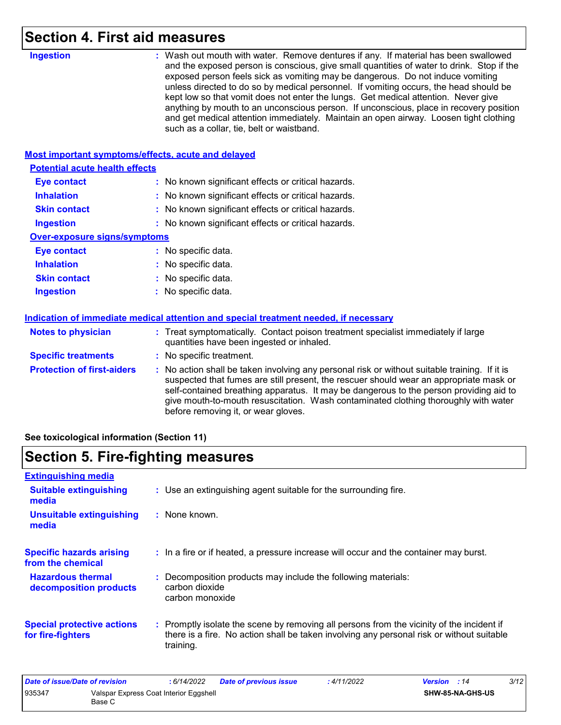### **Section 4. First aid measures**

| <b>Most important symptoms/effects, acute and delayed</b><br><b>Potential acute health effects</b><br><b>Eye contact</b><br>: No known significant effects or critical hazards.<br><b>Inhalation</b><br>No known significant effects or critical hazards.<br><b>Skin contact</b><br>: No known significant effects or critical hazards.<br><b>Ingestion</b><br>: No known significant effects or critical hazards.<br><b>Over-exposure signs/symptoms</b><br>: No specific data.<br><b>Eye contact</b><br><b>Inhalation</b><br>: No specific data.<br><b>Skin contact</b><br>: No specific data.<br>: No specific data.<br><b>Ingestion</b><br>Indication of immediate medical attention and special treatment needed, if necessary<br><b>Notes to physician</b><br>: Treat symptomatically. Contact poison treatment specialist immediately if large<br>quantities have been ingested or inhaled.<br><b>Specific treatments</b><br>: No specific treatment.<br><b>Protection of first-aiders</b> | <b>Ingestion</b> | : Wash out mouth with water. Remove dentures if any. If material has been swallowed<br>and the exposed person is conscious, give small quantities of water to drink. Stop if the<br>exposed person feels sick as vomiting may be dangerous. Do not induce vomiting<br>unless directed to do so by medical personnel. If vomiting occurs, the head should be<br>kept low so that vomit does not enter the lungs. Get medical attention. Never give<br>anything by mouth to an unconscious person. If unconscious, place in recovery position<br>and get medical attention immediately. Maintain an open airway. Loosen tight clothing<br>such as a collar, tie, belt or waistband. |
|---------------------------------------------------------------------------------------------------------------------------------------------------------------------------------------------------------------------------------------------------------------------------------------------------------------------------------------------------------------------------------------------------------------------------------------------------------------------------------------------------------------------------------------------------------------------------------------------------------------------------------------------------------------------------------------------------------------------------------------------------------------------------------------------------------------------------------------------------------------------------------------------------------------------------------------------------------------------------------------------------|------------------|-----------------------------------------------------------------------------------------------------------------------------------------------------------------------------------------------------------------------------------------------------------------------------------------------------------------------------------------------------------------------------------------------------------------------------------------------------------------------------------------------------------------------------------------------------------------------------------------------------------------------------------------------------------------------------------|
|                                                                                                                                                                                                                                                                                                                                                                                                                                                                                                                                                                                                                                                                                                                                                                                                                                                                                                                                                                                                   |                  |                                                                                                                                                                                                                                                                                                                                                                                                                                                                                                                                                                                                                                                                                   |
|                                                                                                                                                                                                                                                                                                                                                                                                                                                                                                                                                                                                                                                                                                                                                                                                                                                                                                                                                                                                   |                  |                                                                                                                                                                                                                                                                                                                                                                                                                                                                                                                                                                                                                                                                                   |
|                                                                                                                                                                                                                                                                                                                                                                                                                                                                                                                                                                                                                                                                                                                                                                                                                                                                                                                                                                                                   |                  |                                                                                                                                                                                                                                                                                                                                                                                                                                                                                                                                                                                                                                                                                   |
|                                                                                                                                                                                                                                                                                                                                                                                                                                                                                                                                                                                                                                                                                                                                                                                                                                                                                                                                                                                                   |                  |                                                                                                                                                                                                                                                                                                                                                                                                                                                                                                                                                                                                                                                                                   |
|                                                                                                                                                                                                                                                                                                                                                                                                                                                                                                                                                                                                                                                                                                                                                                                                                                                                                                                                                                                                   |                  |                                                                                                                                                                                                                                                                                                                                                                                                                                                                                                                                                                                                                                                                                   |
|                                                                                                                                                                                                                                                                                                                                                                                                                                                                                                                                                                                                                                                                                                                                                                                                                                                                                                                                                                                                   |                  |                                                                                                                                                                                                                                                                                                                                                                                                                                                                                                                                                                                                                                                                                   |
|                                                                                                                                                                                                                                                                                                                                                                                                                                                                                                                                                                                                                                                                                                                                                                                                                                                                                                                                                                                                   |                  |                                                                                                                                                                                                                                                                                                                                                                                                                                                                                                                                                                                                                                                                                   |
|                                                                                                                                                                                                                                                                                                                                                                                                                                                                                                                                                                                                                                                                                                                                                                                                                                                                                                                                                                                                   |                  |                                                                                                                                                                                                                                                                                                                                                                                                                                                                                                                                                                                                                                                                                   |
|                                                                                                                                                                                                                                                                                                                                                                                                                                                                                                                                                                                                                                                                                                                                                                                                                                                                                                                                                                                                   |                  |                                                                                                                                                                                                                                                                                                                                                                                                                                                                                                                                                                                                                                                                                   |
|                                                                                                                                                                                                                                                                                                                                                                                                                                                                                                                                                                                                                                                                                                                                                                                                                                                                                                                                                                                                   |                  |                                                                                                                                                                                                                                                                                                                                                                                                                                                                                                                                                                                                                                                                                   |
|                                                                                                                                                                                                                                                                                                                                                                                                                                                                                                                                                                                                                                                                                                                                                                                                                                                                                                                                                                                                   |                  |                                                                                                                                                                                                                                                                                                                                                                                                                                                                                                                                                                                                                                                                                   |
|                                                                                                                                                                                                                                                                                                                                                                                                                                                                                                                                                                                                                                                                                                                                                                                                                                                                                                                                                                                                   |                  |                                                                                                                                                                                                                                                                                                                                                                                                                                                                                                                                                                                                                                                                                   |
|                                                                                                                                                                                                                                                                                                                                                                                                                                                                                                                                                                                                                                                                                                                                                                                                                                                                                                                                                                                                   |                  |                                                                                                                                                                                                                                                                                                                                                                                                                                                                                                                                                                                                                                                                                   |
|                                                                                                                                                                                                                                                                                                                                                                                                                                                                                                                                                                                                                                                                                                                                                                                                                                                                                                                                                                                                   |                  |                                                                                                                                                                                                                                                                                                                                                                                                                                                                                                                                                                                                                                                                                   |
| before removing it, or wear gloves.                                                                                                                                                                                                                                                                                                                                                                                                                                                                                                                                                                                                                                                                                                                                                                                                                                                                                                                                                               |                  | : No action shall be taken involving any personal risk or without suitable training. If it is<br>suspected that fumes are still present, the rescuer should wear an appropriate mask or<br>self-contained breathing apparatus. It may be dangerous to the person providing aid to<br>give mouth-to-mouth resuscitation. Wash contaminated clothing thoroughly with water                                                                                                                                                                                                                                                                                                          |

**See toxicological information (Section 11)**

# **Section 5. Fire-fighting measures**

| <b>Extinguishing media</b>                             |                                                                                                                                                                                                     |
|--------------------------------------------------------|-----------------------------------------------------------------------------------------------------------------------------------------------------------------------------------------------------|
| <b>Suitable extinguishing</b><br>media                 | : Use an extinguishing agent suitable for the surrounding fire.                                                                                                                                     |
| <b>Unsuitable extinguishing</b><br>media               | : None known.                                                                                                                                                                                       |
| <b>Specific hazards arising</b><br>from the chemical   | : In a fire or if heated, a pressure increase will occur and the container may burst.                                                                                                               |
| <b>Hazardous thermal</b><br>decomposition products     | : Decomposition products may include the following materials:<br>carbon dioxide<br>carbon monoxide                                                                                                  |
| <b>Special protective actions</b><br>for fire-fighters | : Promptly isolate the scene by removing all persons from the vicinity of the incident if<br>there is a fire. No action shall be taken involving any personal risk or without suitable<br>training. |

| Date of issue/Date of revision |                                                  | : 6/14/2022 | <b>Date of previous issue</b> | : 4/11/2022             | <b>Version</b> : 14 | 3/12 |
|--------------------------------|--------------------------------------------------|-------------|-------------------------------|-------------------------|---------------------|------|
| 935347                         | Valspar Express Coat Interior Eggshell<br>Base C |             |                               | <b>SHW-85-NA-GHS-US</b> |                     |      |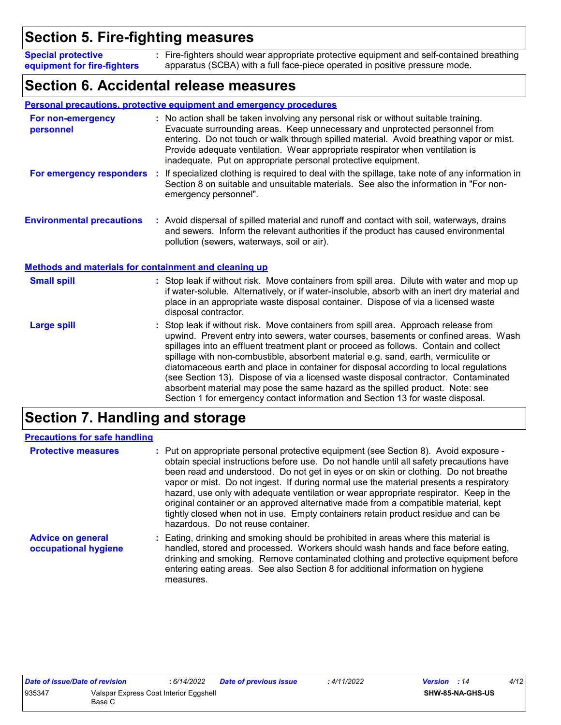### **Section 5. Fire-fighting measures**

Fire-fighters should wear appropriate protective equipment and self-contained breathing **:** apparatus (SCBA) with a full face-piece operated in positive pressure mode. **Special protective equipment for fire-fighters**

### **Section 6. Accidental release measures**

|                                                              | Personal precautions, protective equipment and emergency procedures                                                                                                                                                                                                                                                                                                                                                                                                                                                                                                                                                                                                                                        |
|--------------------------------------------------------------|------------------------------------------------------------------------------------------------------------------------------------------------------------------------------------------------------------------------------------------------------------------------------------------------------------------------------------------------------------------------------------------------------------------------------------------------------------------------------------------------------------------------------------------------------------------------------------------------------------------------------------------------------------------------------------------------------------|
| For non-emergency<br>personnel                               | : No action shall be taken involving any personal risk or without suitable training.<br>Evacuate surrounding areas. Keep unnecessary and unprotected personnel from<br>entering. Do not touch or walk through spilled material. Avoid breathing vapor or mist.<br>Provide adequate ventilation. Wear appropriate respirator when ventilation is<br>inadequate. Put on appropriate personal protective equipment.                                                                                                                                                                                                                                                                                           |
| For emergency responders                                     | If specialized clothing is required to deal with the spillage, take note of any information in<br>÷.<br>Section 8 on suitable and unsuitable materials. See also the information in "For non-<br>emergency personnel".                                                                                                                                                                                                                                                                                                                                                                                                                                                                                     |
| <b>Environmental precautions</b>                             | : Avoid dispersal of spilled material and runoff and contact with soil, waterways, drains<br>and sewers. Inform the relevant authorities if the product has caused environmental<br>pollution (sewers, waterways, soil or air).                                                                                                                                                                                                                                                                                                                                                                                                                                                                            |
| <b>Methods and materials for containment and cleaning up</b> |                                                                                                                                                                                                                                                                                                                                                                                                                                                                                                                                                                                                                                                                                                            |
| <b>Small spill</b>                                           | : Stop leak if without risk. Move containers from spill area. Dilute with water and mop up<br>if water-soluble. Alternatively, or if water-insoluble, absorb with an inert dry material and<br>place in an appropriate waste disposal container. Dispose of via a licensed waste<br>disposal contractor.                                                                                                                                                                                                                                                                                                                                                                                                   |
| <b>Large spill</b>                                           | Stop leak if without risk. Move containers from spill area. Approach release from<br>upwind. Prevent entry into sewers, water courses, basements or confined areas. Wash<br>spillages into an effluent treatment plant or proceed as follows. Contain and collect<br>spillage with non-combustible, absorbent material e.g. sand, earth, vermiculite or<br>diatomaceous earth and place in container for disposal according to local regulations<br>(see Section 13). Dispose of via a licensed waste disposal contractor. Contaminated<br>absorbent material may pose the same hazard as the spilled product. Note: see<br>Section 1 for emergency contact information and Section 13 for waste disposal. |

### **Section 7. Handling and storage**

| <b>Precautions for safe handling</b>             |                                                                                                                                                                                                                                                                                                                                                                                                                                                                                                                                                                                                                                                                               |
|--------------------------------------------------|-------------------------------------------------------------------------------------------------------------------------------------------------------------------------------------------------------------------------------------------------------------------------------------------------------------------------------------------------------------------------------------------------------------------------------------------------------------------------------------------------------------------------------------------------------------------------------------------------------------------------------------------------------------------------------|
| <b>Protective measures</b>                       | : Put on appropriate personal protective equipment (see Section 8). Avoid exposure -<br>obtain special instructions before use. Do not handle until all safety precautions have<br>been read and understood. Do not get in eyes or on skin or clothing. Do not breathe<br>vapor or mist. Do not ingest. If during normal use the material presents a respiratory<br>hazard, use only with adequate ventilation or wear appropriate respirator. Keep in the<br>original container or an approved alternative made from a compatible material, kept<br>tightly closed when not in use. Empty containers retain product residue and can be<br>hazardous. Do not reuse container. |
| <b>Advice on general</b><br>occupational hygiene | : Eating, drinking and smoking should be prohibited in areas where this material is<br>handled, stored and processed. Workers should wash hands and face before eating,<br>drinking and smoking. Remove contaminated clothing and protective equipment before<br>entering eating areas. See also Section 8 for additional information on hygiene<br>measures.                                                                                                                                                                                                                                                                                                                 |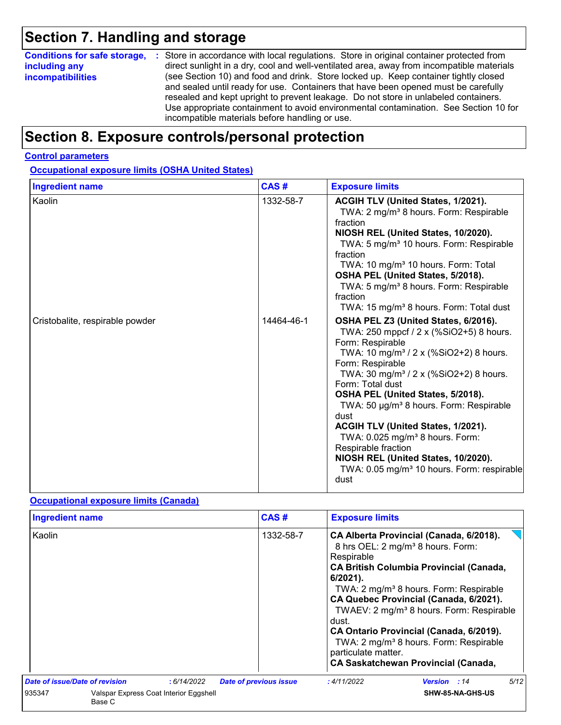# **Section 7. Handling and storage**

| <b>Conditions for safe storage,</b> | : Store in accordance with local regulations. Store in original container protected from                                                                                                                                                                                                                                                                                                                   |
|-------------------------------------|------------------------------------------------------------------------------------------------------------------------------------------------------------------------------------------------------------------------------------------------------------------------------------------------------------------------------------------------------------------------------------------------------------|
| including any                       | direct sunlight in a dry, cool and well-ventilated area, away from incompatible materials                                                                                                                                                                                                                                                                                                                  |
| <b>incompatibilities</b>            | (see Section 10) and food and drink. Store locked up. Keep container tightly closed<br>and sealed until ready for use. Containers that have been opened must be carefully<br>resealed and kept upright to prevent leakage. Do not store in unlabeled containers.<br>Use appropriate containment to avoid environmental contamination. See Section 10 for<br>incompatible materials before handling or use. |

### **Section 8. Exposure controls/personal protection**

#### **Control parameters**

**Occupational exposure limits (OSHA United States)**

| <b>Ingredient name</b>          | CAS#       | <b>Exposure limits</b>                                                                                                                                                                                                                                                                                                                                                                                                                                                                                                                                                           |
|---------------------------------|------------|----------------------------------------------------------------------------------------------------------------------------------------------------------------------------------------------------------------------------------------------------------------------------------------------------------------------------------------------------------------------------------------------------------------------------------------------------------------------------------------------------------------------------------------------------------------------------------|
| Kaolin                          | 1332-58-7  | ACGIH TLV (United States, 1/2021).<br>TWA: 2 mg/m <sup>3</sup> 8 hours. Form: Respirable<br>fraction<br>NIOSH REL (United States, 10/2020).<br>TWA: 5 mg/m <sup>3</sup> 10 hours. Form: Respirable<br>fraction<br>TWA: 10 mg/m <sup>3</sup> 10 hours. Form: Total<br>OSHA PEL (United States, 5/2018).<br>TWA: 5 mg/m <sup>3</sup> 8 hours. Form: Respirable<br>fraction<br>TWA: 15 mg/m <sup>3</sup> 8 hours. Form: Total dust                                                                                                                                                  |
| Cristobalite, respirable powder | 14464-46-1 | OSHA PEL Z3 (United States, 6/2016).<br>TWA: 250 mppcf / 2 x (%SiO2+5) 8 hours.<br>Form: Respirable<br>TWA: 10 mg/m <sup>3</sup> / 2 x (%SiO2+2) 8 hours.<br>Form: Respirable<br>TWA: 30 mg/m <sup>3</sup> / 2 x (%SiO2+2) 8 hours.<br>Form: Total dust<br>OSHA PEL (United States, 5/2018).<br>TWA: 50 µg/m <sup>3</sup> 8 hours. Form: Respirable<br>dust<br>ACGIH TLV (United States, 1/2021).<br>TWA: 0.025 mg/m <sup>3</sup> 8 hours. Form:<br>Respirable fraction<br>NIOSH REL (United States, 10/2020).<br>TWA: 0.05 mg/m <sup>3</sup> 10 hours. Form: respirable<br>dust |

#### **Occupational exposure limits (Canada)**

| <b>Ingredient name</b>         |                                                  |            | CAS#                          | <b>Exposure limits</b>                                    |                                                                                                                                                                                                                                                                                                                                                                                                                                                   |      |
|--------------------------------|--------------------------------------------------|------------|-------------------------------|-----------------------------------------------------------|---------------------------------------------------------------------------------------------------------------------------------------------------------------------------------------------------------------------------------------------------------------------------------------------------------------------------------------------------------------------------------------------------------------------------------------------------|------|
| Kaolin                         |                                                  |            | 1332-58-7                     | Respirable<br>$6/2021$ ).<br>dust.<br>particulate matter. | CA Alberta Provincial (Canada, 6/2018).<br>8 hrs OEL: 2 mg/m <sup>3</sup> 8 hours. Form:<br><b>CA British Columbia Provincial (Canada,</b><br>TWA: 2 mg/m <sup>3</sup> 8 hours. Form: Respirable<br>CA Quebec Provincial (Canada, 6/2021).<br>TWAEV: 2 mg/m <sup>3</sup> 8 hours. Form: Respirable<br>CA Ontario Provincial (Canada, 6/2019).<br>TWA: 2 mg/m <sup>3</sup> 8 hours. Form: Respirable<br><b>CA Saskatchewan Provincial (Canada,</b> |      |
| Date of issue/Date of revision |                                                  | :6/14/2022 | <b>Date of previous issue</b> | :4/11/2022                                                | <b>Version</b> : 14                                                                                                                                                                                                                                                                                                                                                                                                                               | 5/12 |
| 935347                         | Valspar Express Coat Interior Eggshell<br>Base C |            |                               |                                                           | SHW-85-NA-GHS-US                                                                                                                                                                                                                                                                                                                                                                                                                                  |      |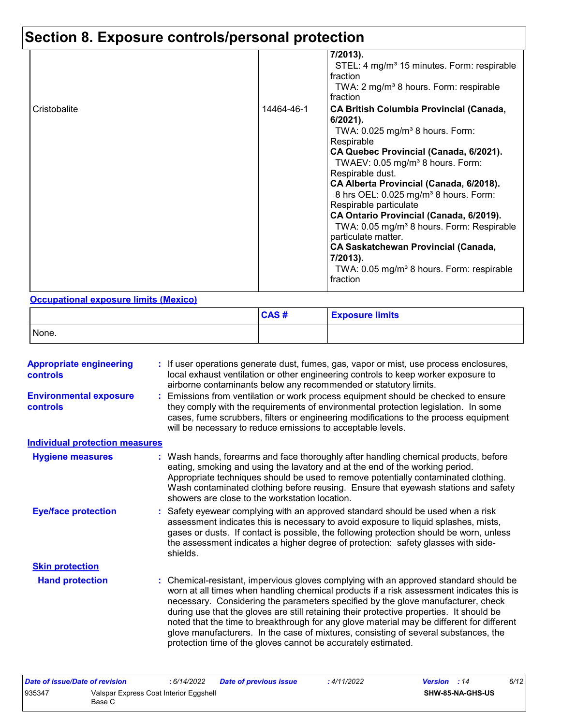# **Section 8. Exposure controls/personal protection**

|              |            | 7/2013).<br>STEL: 4 mg/m <sup>3</sup> 15 minutes. Form: respirable<br>fraction<br>TWA: 2 mg/m <sup>3</sup> 8 hours. Form: respirable<br>fraction                                                                                                                                                                                                                                                                                                                                                                                                                                                                               |
|--------------|------------|--------------------------------------------------------------------------------------------------------------------------------------------------------------------------------------------------------------------------------------------------------------------------------------------------------------------------------------------------------------------------------------------------------------------------------------------------------------------------------------------------------------------------------------------------------------------------------------------------------------------------------|
| Cristobalite | 14464-46-1 | <b>CA British Columbia Provincial (Canada,</b><br>$6/2021$ ).<br>TWA: $0.025$ mg/m <sup>3</sup> 8 hours. Form:<br>Respirable<br>CA Quebec Provincial (Canada, 6/2021).<br>TWAEV: 0.05 mg/m <sup>3</sup> 8 hours. Form:<br>Respirable dust.<br>CA Alberta Provincial (Canada, 6/2018).<br>8 hrs OEL: 0.025 mg/m <sup>3</sup> 8 hours. Form:<br>Respirable particulate<br>CA Ontario Provincial (Canada, 6/2019).<br>TWA: 0.05 mg/m <sup>3</sup> 8 hours. Form: Respirable<br>particulate matter.<br><b>CA Saskatchewan Provincial (Canada,</b><br>7/2013).<br>TWA: 0.05 mg/m <sup>3</sup> 8 hours. Form: respirable<br>fraction |

#### **Occupational exposure limits (Mexico)**

|       | CAS# | <b>Exposure limits</b> |
|-------|------|------------------------|
| None. |      |                        |

| <b>Appropriate engineering</b><br><b>controls</b> | If user operations generate dust, fumes, gas, vapor or mist, use process enclosures,<br>local exhaust ventilation or other engineering controls to keep worker exposure to<br>airborne contaminants below any recommended or statutory limits.                                                                                                                                                                                                                                                                                                                                                                       |
|---------------------------------------------------|----------------------------------------------------------------------------------------------------------------------------------------------------------------------------------------------------------------------------------------------------------------------------------------------------------------------------------------------------------------------------------------------------------------------------------------------------------------------------------------------------------------------------------------------------------------------------------------------------------------------|
| <b>Environmental exposure</b><br><b>controls</b>  | Emissions from ventilation or work process equipment should be checked to ensure<br>they comply with the requirements of environmental protection legislation. In some<br>cases, fume scrubbers, filters or engineering modifications to the process equipment<br>will be necessary to reduce emissions to acceptable levels.                                                                                                                                                                                                                                                                                        |
| <b>Individual protection measures</b>             |                                                                                                                                                                                                                                                                                                                                                                                                                                                                                                                                                                                                                      |
| <b>Hygiene measures</b>                           | Wash hands, forearms and face thoroughly after handling chemical products, before<br>eating, smoking and using the lavatory and at the end of the working period.<br>Appropriate techniques should be used to remove potentially contaminated clothing.<br>Wash contaminated clothing before reusing. Ensure that eyewash stations and safety<br>showers are close to the workstation location.                                                                                                                                                                                                                      |
| <b>Eye/face protection</b>                        | Safety eyewear complying with an approved standard should be used when a risk<br>assessment indicates this is necessary to avoid exposure to liquid splashes, mists,<br>gases or dusts. If contact is possible, the following protection should be worn, unless<br>the assessment indicates a higher degree of protection: safety glasses with side-<br>shields.                                                                                                                                                                                                                                                     |
| <b>Skin protection</b>                            |                                                                                                                                                                                                                                                                                                                                                                                                                                                                                                                                                                                                                      |
| <b>Hand protection</b>                            | Chemical-resistant, impervious gloves complying with an approved standard should be<br>worn at all times when handling chemical products if a risk assessment indicates this is<br>necessary. Considering the parameters specified by the glove manufacturer, check<br>during use that the gloves are still retaining their protective properties. It should be<br>noted that the time to breakthrough for any glove material may be different for different<br>glove manufacturers. In the case of mixtures, consisting of several substances, the<br>protection time of the gloves cannot be accurately estimated. |

| <b>SHW-85-NA-GHS-US</b> |  |
|-------------------------|--|
|                         |  |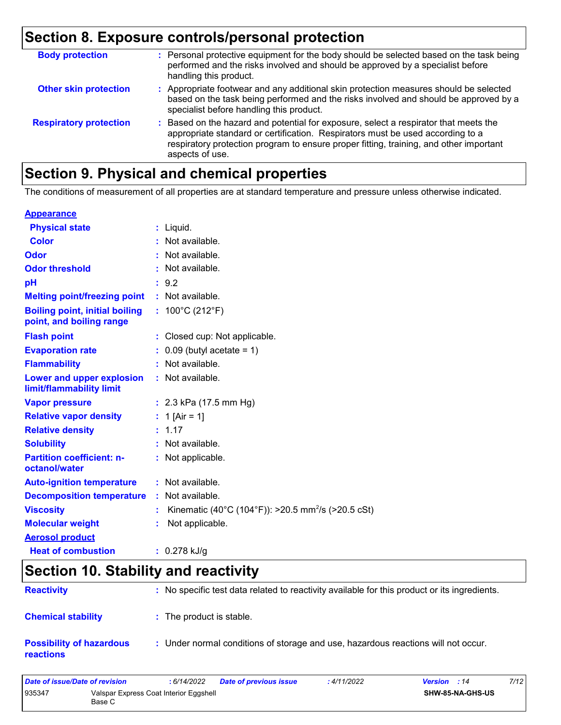# **Section 8. Exposure controls/personal protection**

| <b>Body protection</b>        | : Personal protective equipment for the body should be selected based on the task being<br>performed and the risks involved and should be approved by a specialist before<br>handling this product.                                                                                 |
|-------------------------------|-------------------------------------------------------------------------------------------------------------------------------------------------------------------------------------------------------------------------------------------------------------------------------------|
| <b>Other skin protection</b>  | : Appropriate footwear and any additional skin protection measures should be selected<br>based on the task being performed and the risks involved and should be approved by a<br>specialist before handling this product.                                                           |
| <b>Respiratory protection</b> | : Based on the hazard and potential for exposure, select a respirator that meets the<br>appropriate standard or certification. Respirators must be used according to a<br>respiratory protection program to ensure proper fitting, training, and other important<br>aspects of use. |

### **Section 9. Physical and chemical properties**

The conditions of measurement of all properties are at standard temperature and pressure unless otherwise indicated.

#### **Appearance**

| <b>Physical state</b>                                             | $:$ Liquid.                                                    |
|-------------------------------------------------------------------|----------------------------------------------------------------|
| <b>Color</b>                                                      | : Not available.                                               |
| Odor                                                              | : Not available.                                               |
| <b>Odor threshold</b>                                             | : Not available.                                               |
| pH                                                                | : 9.2                                                          |
| <b>Melting point/freezing point</b>                               | : Not available.                                               |
| <b>Boiling point, initial boiling</b><br>point, and boiling range | : $100^{\circ}$ C (212 $^{\circ}$ F)                           |
| <b>Flash point</b>                                                | : Closed cup: Not applicable.                                  |
| <b>Evaporation rate</b>                                           | $\therefore$ 0.09 (butyl acetate = 1)                          |
| <b>Flammability</b>                                               | : Not available.                                               |
| Lower and upper explosion<br>limit/flammability limit             | : Not available.                                               |
| <b>Vapor pressure</b>                                             | : $2.3$ kPa (17.5 mm Hg)                                       |
| <b>Relative vapor density</b>                                     | : 1 [Air = 1]                                                  |
| <b>Relative density</b>                                           | : 1.17                                                         |
| <b>Solubility</b>                                                 | : Not available.                                               |
| <b>Partition coefficient: n-</b><br>octanol/water                 | : Not applicable.                                              |
| <b>Auto-ignition temperature</b>                                  | : Not available.                                               |
| <b>Decomposition temperature</b>                                  | : Not available.                                               |
| <b>Viscosity</b>                                                  | Kinematic (40°C (104°F)): >20.5 mm <sup>2</sup> /s (>20.5 cSt) |
| <b>Molecular weight</b>                                           | Not applicable.                                                |
| <b>Aerosol product</b>                                            |                                                                |
| <b>Heat of combustion</b>                                         | $: 0.278$ kJ/g                                                 |

### **Section 10. Stability and reactivity**

| <b>Reactivity</b>                            | : No specific test data related to reactivity available for this product or its ingredients. |
|----------------------------------------------|----------------------------------------------------------------------------------------------|
| <b>Chemical stability</b>                    | : The product is stable.                                                                     |
| <b>Possibility of hazardous</b><br>reactions | : Under normal conditions of storage and use, hazardous reactions will not occur.            |

| Date of issue/Date of revision |                                                  | : 6/14/2022 | Date of previous issue | : 4/11/2022 | <b>Version</b> : 14 |                         | 7/12 |
|--------------------------------|--------------------------------------------------|-------------|------------------------|-------------|---------------------|-------------------------|------|
| 935347                         | Valspar Express Coat Interior Eggshell<br>Base C |             |                        |             |                     | <b>SHW-85-NA-GHS-US</b> |      |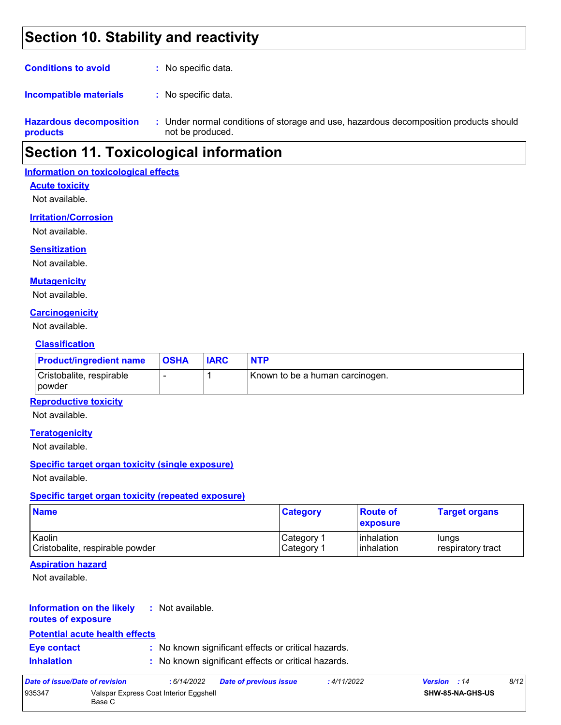### **Section 10. Stability and reactivity**

| <b>Conditions to avoid</b> | : No specific data. |
|----------------------------|---------------------|
|----------------------------|---------------------|

: No specific data. **Incompatible materials :**

**Hazardous decomposition products** Under normal conditions of storage and use, hazardous decomposition products should **:** not be produced.

### **Section 11. Toxicological information**

#### **Information on toxicological effects**

#### **Acute toxicity**

Not available.

#### **Irritation/Corrosion**

Not available.

#### **Sensitization**

Not available.

#### **Mutagenicity**

Not available.

#### **Carcinogenicity**

Not available.

#### **Classification**

| <b>Product/ingredient name</b>       | <b>OSHA</b> | <b>IARC</b> | <b>NTP</b>                      |
|--------------------------------------|-------------|-------------|---------------------------------|
| Cristobalite, respirable<br>l powder |             |             | Known to be a human carcinogen. |

#### **Reproductive toxicity**

Not available.

#### **Teratogenicity**

Not available.

#### **Specific target organ toxicity (single exposure)**

Not available.

#### **Specific target organ toxicity (repeated exposure)**

| <b>Name</b>                     | <b>Category</b>        | ∣Route of<br><b>exposure</b> | <b>Target organs</b> |
|---------------------------------|------------------------|------------------------------|----------------------|
| Kaolin                          | ∣Category <sup>1</sup> | <b>l</b> inhalation          | lungs                |
| Cristobalite, respirable powder | ∣Category <sup>1</sup> | <b>l</b> inhalation          | respiratory tract    |

#### **Aspiration hazard**

Not available.

#### **Information on the likely :** Not available.

**routes of exposure**

#### **Potential acute health effects**

- 
- **Eye contact :** No known significant effects or critical hazards.

**Inhalation :** No known significant effects or critical hazards.

| Date of issue/Date of revision |                                                  | : 6/14/2022 | <b>Date of previous issue</b> | : 4/11/2022 | <b>Version</b> : 14 | 8/12 |
|--------------------------------|--------------------------------------------------|-------------|-------------------------------|-------------|---------------------|------|
| 935347                         | Valspar Express Coat Interior Eggshell<br>Base C |             |                               |             | SHW-85-NA-GHS-US    |      |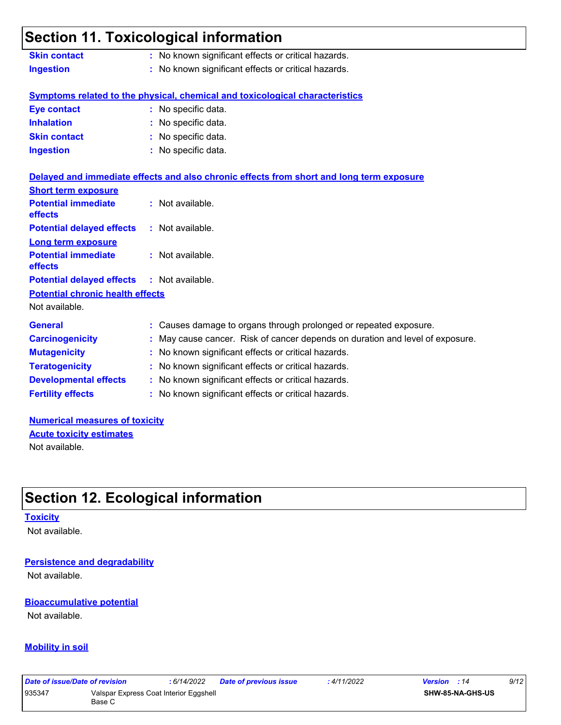# **Section 11. Toxicological information**

| <b>Skin contact</b> | : No known significant effects or critical hazards. |
|---------------------|-----------------------------------------------------|
| <b>Ingestion</b>    | : No known significant effects or critical hazards. |

#### **Symptoms related to the physical, chemical and toxicological characteristics**

| <b>Eye contact</b>  | : No specific data. |
|---------------------|---------------------|
| <b>Inhalation</b>   | : No specific data. |
| <b>Skin contact</b> | : No specific data. |
| <b>Ingestion</b>    | : No specific data. |

|                                                   | Delayed and immediate effects and also chronic effects from short and long term exposure |
|---------------------------------------------------|------------------------------------------------------------------------------------------|
| <b>Short term exposure</b>                        |                                                                                          |
| <b>Potential immediate</b><br><b>effects</b>      | : Not available.                                                                         |
| <b>Potential delayed effects : Not available.</b> |                                                                                          |
| <b>Long term exposure</b>                         |                                                                                          |
| <b>Potential immediate</b><br><b>effects</b>      | : Not available.                                                                         |
| <b>Potential delayed effects : Not available.</b> |                                                                                          |
| <b>Potential chronic health effects</b>           |                                                                                          |
| Not available.                                    |                                                                                          |
| <b>General</b>                                    | : Causes damage to organs through prolonged or repeated exposure.                        |
| <b>Carcinogenicity</b>                            | : May cause cancer. Risk of cancer depends on duration and level of exposure.            |
| <b>Mutagenicity</b>                               | : No known significant effects or critical hazards.                                      |
| <b>Teratogenicity</b>                             | : No known significant effects or critical hazards.                                      |
| <b>Developmental effects</b>                      | : No known significant effects or critical hazards.                                      |
| <b>Fertility effects</b>                          | : No known significant effects or critical hazards.                                      |

#### **Numerical measures of toxicity** Not available. **Acute toxicity estimates**

### **Section 12. Ecological information**

#### **Toxicity**

Not available.

#### **Persistence and degradability**

Not available.

#### **Bioaccumulative potential**

Not available.

#### **Mobility in soil**

| Date of issue/Date of revision |                                                  | : 6/14/2022 | <b>Date of previous issue</b> | : 4/11/2022 | <b>Version</b> : 14 | 9/12 |
|--------------------------------|--------------------------------------------------|-------------|-------------------------------|-------------|---------------------|------|
| 935347                         | Valspar Express Coat Interior Eggshell<br>Base C |             |                               |             | SHW-85-NA-GHS-US    |      |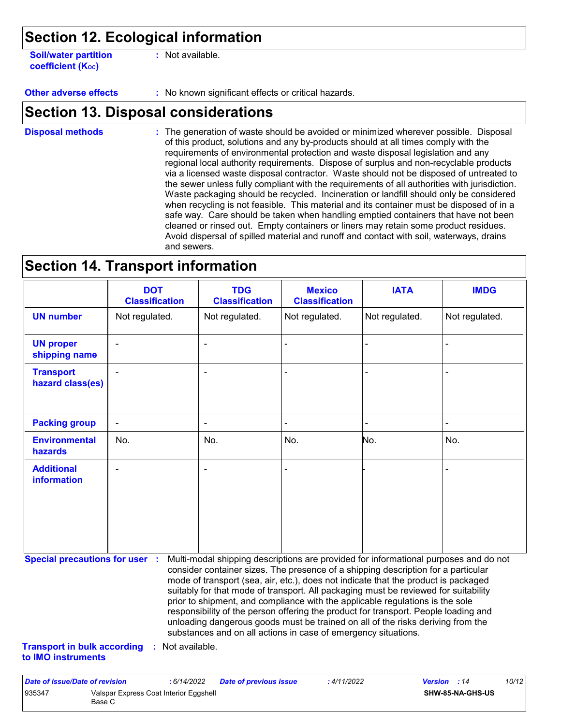### **Section 12. Ecological information**

**Soil/water partition coefficient (K**<sub>oc</sub>)

**:** Not available.

**Other adverse effects :** No known significant effects or critical hazards.

### **Section 13. Disposal considerations**

The generation of waste should be avoided or minimized wherever possible. Disposal of this product, solutions and any by-products should at all times comply with the requirements of environmental protection and waste disposal legislation and any regional local authority requirements. Dispose of surplus and non-recyclable products via a licensed waste disposal contractor. Waste should not be disposed of untreated to the sewer unless fully compliant with the requirements of all authorities with jurisdiction. Waste packaging should be recycled. Incineration or landfill should only be considered when recycling is not feasible. This material and its container must be disposed of in a safe way. Care should be taken when handling emptied containers that have not been cleaned or rinsed out. Empty containers or liners may retain some product residues. Avoid dispersal of spilled material and runoff and contact with soil, waterways, drains and sewers. **Disposal methods :**

### **Section 14. Transport information**

|                                      | <b>DOT</b><br><b>Classification</b> | <b>TDG</b><br><b>Classification</b> | <b>Mexico</b><br><b>Classification</b> | <b>IATA</b>    | <b>IMDG</b>    |
|--------------------------------------|-------------------------------------|-------------------------------------|----------------------------------------|----------------|----------------|
| <b>UN number</b>                     | Not regulated.                      | Not regulated.                      | Not regulated.                         | Not regulated. | Not regulated. |
| <b>UN proper</b><br>shipping name    | $\blacksquare$                      | $\blacksquare$                      | $\blacksquare$                         |                |                |
| <b>Transport</b><br>hazard class(es) | $\blacksquare$                      | $\blacksquare$                      |                                        |                |                |
| <b>Packing group</b>                 | $\blacksquare$                      | $\blacksquare$                      | $\blacksquare$                         | ۰              | $\blacksquare$ |
| <b>Environmental</b><br>hazards      | No.                                 | No.                                 | No.                                    | No.            | No.            |
| <b>Additional</b><br>information     | $\blacksquare$                      | $\overline{\phantom{a}}$            | $\blacksquare$                         |                | $\blacksquare$ |

**Special precautions for user :** Multi-modal shipping descriptions are provided for informational purposes and do not consider container sizes. The presence of a shipping description for a particular mode of transport (sea, air, etc.), does not indicate that the product is packaged suitably for that mode of transport. All packaging must be reviewed for suitability prior to shipment, and compliance with the applicable regulations is the sole responsibility of the person offering the product for transport. People loading and unloading dangerous goods must be trained on all of the risks deriving from the substances and on all actions in case of emergency situations.

**Transport in bulk according :** Not available. **to IMO instruments**

| Date of issue/Date of revision |                                                  | : 6/14/2022 | <b>Date of previous issue</b> | : 4/11/2022 | <b>Version</b> : 14 |                         | 10/12 |
|--------------------------------|--------------------------------------------------|-------------|-------------------------------|-------------|---------------------|-------------------------|-------|
| 935347                         | Valspar Express Coat Interior Eggshell<br>Base C |             |                               |             |                     | <b>SHW-85-NA-GHS-US</b> |       |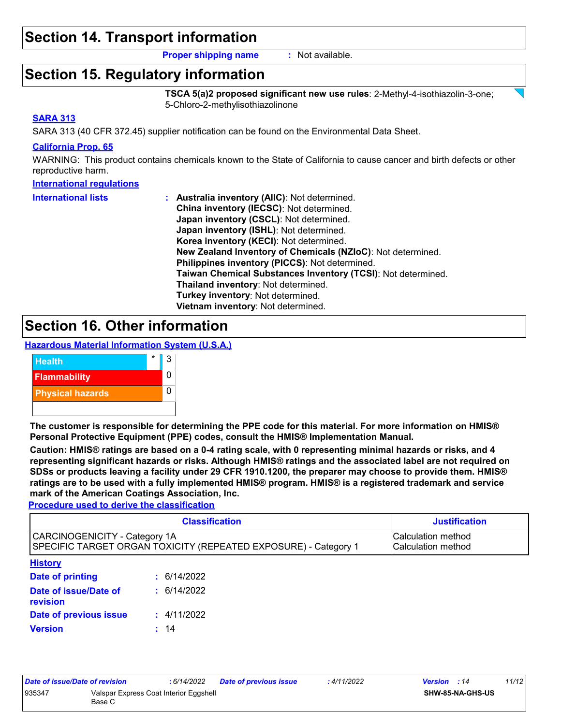### **Section 14. Transport information**

**Proper shipping name :** Not available.

### **Section 15. Regulatory information**

**TSCA 5(a)2 proposed significant new use rules**: 2-Methyl-4-isothiazolin-3-one; 5-Chloro-2-methylisothiazolinone

#### **SARA 313**

SARA 313 (40 CFR 372.45) supplier notification can be found on the Environmental Data Sheet.

#### **California Prop. 65**

WARNING: This product contains chemicals known to the State of California to cause cancer and birth defects or other reproductive harm.

#### **International regulations**

| <b>International lists</b> | : Australia inventory (AIIC): Not determined.                |
|----------------------------|--------------------------------------------------------------|
|                            | China inventory (IECSC): Not determined.                     |
|                            | Japan inventory (CSCL): Not determined.                      |
|                            | Japan inventory (ISHL): Not determined.                      |
|                            | Korea inventory (KECI): Not determined.                      |
|                            | New Zealand Inventory of Chemicals (NZIoC): Not determined.  |
|                            | Philippines inventory (PICCS): Not determined.               |
|                            | Taiwan Chemical Substances Inventory (TCSI): Not determined. |
|                            | Thailand inventory: Not determined.                          |
|                            | Turkey inventory: Not determined.                            |
|                            | Vietnam inventory: Not determined.                           |

### **Section 16. Other information**





**The customer is responsible for determining the PPE code for this material. For more information on HMIS® Personal Protective Equipment (PPE) codes, consult the HMIS® Implementation Manual.**

**Caution: HMIS® ratings are based on a 0-4 rating scale, with 0 representing minimal hazards or risks, and 4 representing significant hazards or risks. Although HMIS® ratings and the associated label are not required on SDSs or products leaving a facility under 29 CFR 1910.1200, the preparer may choose to provide them. HMIS® ratings are to be used with a fully implemented HMIS® program. HMIS® is a registered trademark and service mark of the American Coatings Association, Inc.**

**Procedure used to derive the classification**

|                                                                                                  | <b>Justification</b>                     |  |  |
|--------------------------------------------------------------------------------------------------|------------------------------------------|--|--|
| CARCINOGENICITY - Category 1A<br>SPECIFIC TARGET ORGAN TOXICITY (REPEATED EXPOSURE) - Category 1 | Calculation method<br>Calculation method |  |  |
| <b>History</b>                                                                                   |                                          |  |  |
| Date of printing                                                                                 | : 6/14/2022                              |  |  |
| Date of issue/Date of<br>revision                                                                | : 6/14/2022                              |  |  |
| Date of previous issue                                                                           | : 4/11/2022                              |  |  |
| <b>Version</b>                                                                                   | 14                                       |  |  |

| Date of issue/Date of revision |                                                  | : 6/14/2022 | <b>Date of previous issue</b> | : 4/11/2022 | <b>Version</b> : 14 |                         | 11/12 |
|--------------------------------|--------------------------------------------------|-------------|-------------------------------|-------------|---------------------|-------------------------|-------|
| 935347                         | Valspar Express Coat Interior Eggshell<br>Base C |             |                               |             |                     | <b>SHW-85-NA-GHS-US</b> |       |